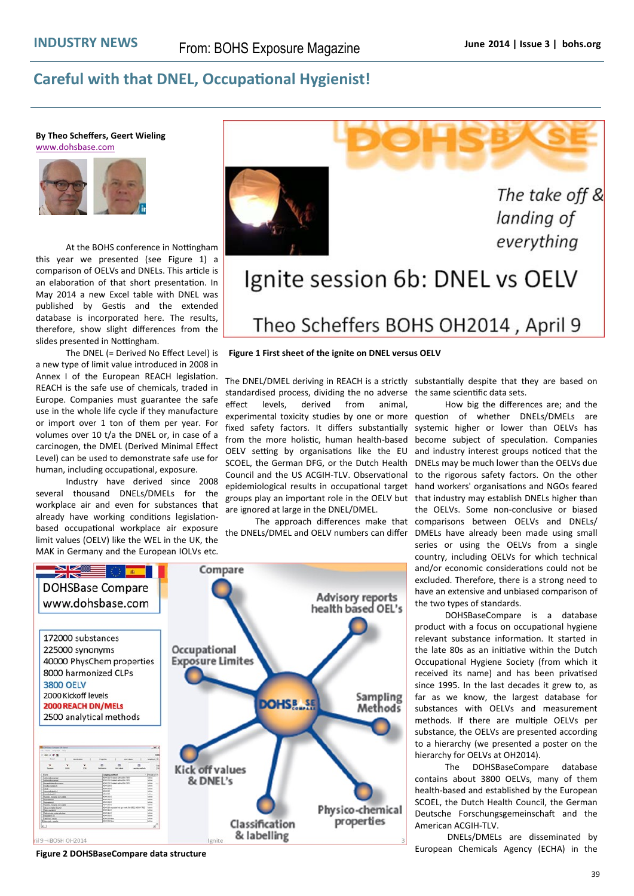## **Careful with that DNEL, Occupational Hygienist!**

**By Theo Scheffers, Geert Wieling**  [www.dohsbase.com](http://www.dohsbase.com)



At the BOHS conference in Nottingham this year we presented (see Figure 1) a comparison of OELVs and DNELs. This article is an elaboration of that short presentation. In May 2014 a new Excel table with DNEL was published by Gestis and the extended database is incorporated here. The results, therefore, show slight differences from the slides presented in Nottingham.

The DNEL (= Derived No Effect Level) is a new type of limit value introduced in 2008 in Annex I of the European REACH legislation. REACH is the safe use of chemicals, traded in Europe. Companies must guarantee the safe use in the whole life cycle if they manufacture or import over 1 ton of them per year. For volumes over 10 t/a the DNEL or, in case of a carcinogen, the DMEL (Derived Minimal Effect Level) can be used to demonstrate safe use for human, including occupational, exposure.

Industry have derived since 2008 several thousand DNELs/DMELs for the workplace air and even for substances that already have working conditions legislationbased occupational workplace air exposure limit values (OELV) like the WEL in the UK, the MAK in Germany and the European IOLVs etc.



The take off & landing of everything

## Ignite session 6b: DNEL vs OELV Theo Scheffers BOHS OH2014, April 9

## **Figure 1 First sheet of the ignite on DNEL versus OELV**

The DNEL/DMEL deriving in REACH is a strictly substantially despite that they are based on standardised process, dividing the no adverse the same scientific data sets. effect levels, derived from animal, experimental toxicity studies by one or more question of whether DNELs/DMELs are fixed safety factors. It differs substantially from the more holistic, human health-based OELV setting by organisations like the EU SCOEL, the German DFG, or the Dutch Health Council and the US ACGIH-TLV. Observational epidemiological results in occupational target groups play an important role in the OELV but that industry may establish DNELs higher than are ignored at large in the DNEL/DMEL.

the DNELs/DMEL and OELV numbers can differ



**Figure 2 DOHSBaseCompare data structure**

The approach differences make that comparisons between OELVs and DNELs/ How big the differences are; and the systemic higher or lower than OELVs has become subject of speculation. Companies and industry interest groups noticed that the DNELs may be much lower than the OELVs due to the rigorous safety factors. On the other hand workers' organisations and NGOs feared the OELVs. Some non-conclusive or biased DMELs have already been made using small series or using the OELVs from a single country, including OELVs for which technical and/or economic considerations could not be excluded. Therefore, there is a strong need to have an extensive and unbiased comparison of the two types of standards.

> DOHSBaseCompare is a database product with a focus on occupational hygiene relevant substance information. It started in the late 80s as an initiative within the Dutch Occupational Hygiene Society (from which it received its name) and has been privatised since 1995. In the last decades it grew to, as far as we know, the largest database for substances with OELVs and measurement methods. If there are multiple OELVs per substance, the OELVs are presented according to a hierarchy (we presented a poster on the hierarchy for OELVs at OH2014).

> The DOHSBaseCompare database contains about 3800 OELVs, many of them health-based and established by the European SCOEL, the Dutch Health Council, the German Deutsche Forschungsgemeinschaft and the American ACGIH-TLV.

> DNELs/DMELs are disseminated by European Chemicals Agency (ECHA) in the